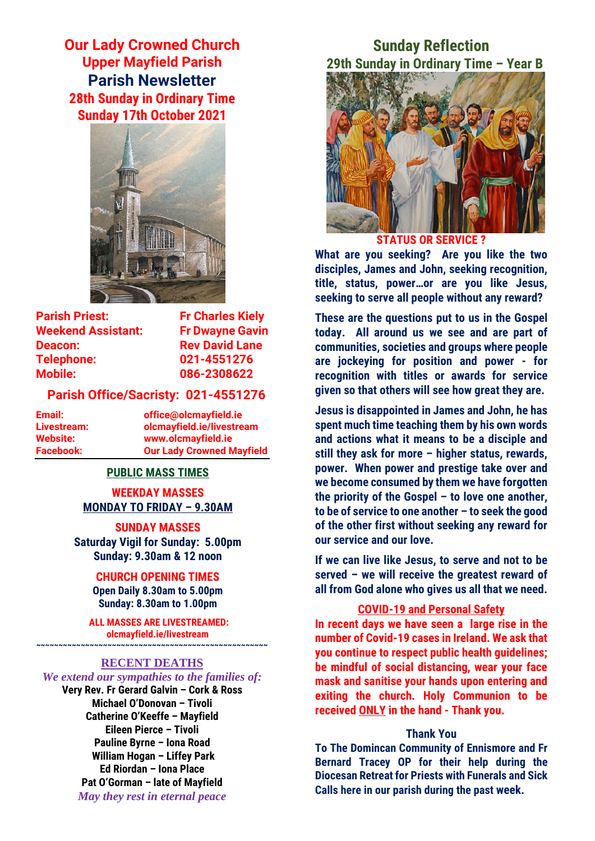**Our Lady Crowned Church Upper Mayfield Parish Parish Newsletter 28th Sunday in Ordinary Time Sunday 17th October 2021**



**Parish Priest:** Fr Charles Kiely **Weekend Assistant: Fr Dwayne Gavin Deacon:** Rev David Lane **Telephone: 021-4551276 Mobile: 086-2308622** 

#### **Parish Office/Sacristy: 021-4551276**

**Email: office@olcmayfield.ie Livestream: olcmayfield.ie/livestream Website: www.olcmayfield.ie Facebook: Our Lady Crowned Mayfield**

#### **PUBLIC MASS TIMES**

**WEEKDAY MASSES MONDAY TO FRIDAY – 9.30AM**

**SUNDAY MASSES Saturday Vigil for Sunday: 5.00pm Sunday: 9.30am & 12 noon**

#### **CHURCH OPENING TIMES**

**Open Daily 8.30am to 5.00pm Sunday: 8.30am to 1.00pm** 

**ALL MASSES ARE LIVESTREAMED: olcmayfield.ie/livestream**

## **~~~~~~~~~~~~~~~~~~~~~~~~~~~~~~~~~~~~~~~~~~~~~~~~~~~~ RECENT DEATHS**

#### *We extend our sympathies to the families of:*

**Very Rev. Fr Gerard Galvin – Cork & Ross Michael O'Donovan – Tivoli Catherine O'Keeffe – Mayfield Eileen Pierce – Tivoli Pauline Byrne – Iona Road William Hogan – Liffey Park Ed Riordan – Iona Place Pat O'Gorman – late of Mayfield** *May they rest in eternal peace*

# **Sunday Reflection 29th Sunday in Ordinary Time – Year B**



**STATUS OR SERVICE ?**

**What are you seeking? Are you like the two disciples, James and John, seeking recognition, title, status, power…or are you like Jesus, seeking to serve all people without any reward?**

**These are the questions put to us in the Gospel today. All around us we see and are part of communities, societies and groups where people are jockeying for position and power - for recognition with titles or awards for service given so that others will see how great they are.** 

**Jesus is disappointed in James and John, he has spent much time teaching them by his own words and actions what it means to be a disciple and still they ask for more – higher status, rewards, power. When power and prestige take over and we become consumed by them we have forgotten the priority of the Gospel – to love one another, to be of service to one another – to seek the good of the other first without seeking any reward for our service and our love.**

**If we can live like Jesus, to serve and not to be served – we will receive the greatest reward of all from God alone who gives us all that we need.**

## **COVID-19 and Personal Safety**

**In recent days we have seen a large rise in the number of Covid-19 cases in Ireland. We ask that you continue to respect public health guidelines; be mindful of social distancing, wear your face mask and sanitise your hands upon entering and exiting the church. Holy Communion to be received ONLY in the hand - Thank you.**

#### **Thank You**

**To The Domincan Community of Ennismore and Fr Bernard Tracey OP for their help during the Diocesan Retreat for Priests with Funerals and Sick Calls here in our parish during the past week.**